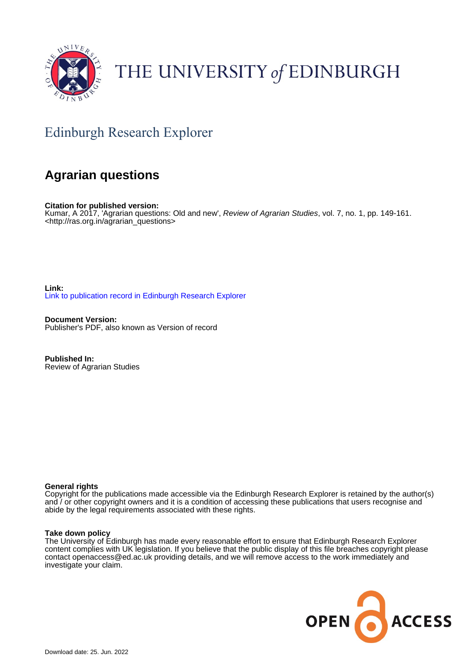

# THE UNIVERSITY of EDINBURGH

## Edinburgh Research Explorer

### **Agrarian questions**

**Citation for published version:** Kumar, A 2017, 'Agrarian questions: Old and new', Review of Agrarian Studies, vol. 7, no. 1, pp. 149-161. <[http://ras.org.in/agrarian\\_questions](http://ras.org.in/agrarian_questions)>

**Link:** [Link to publication record in Edinburgh Research Explorer](https://www.research.ed.ac.uk/en/publications/5b3409fe-a850-4960-a5c4-d0fb74350ac8)

**Document Version:** Publisher's PDF, also known as Version of record

**Published In:** Review of Agrarian Studies

#### **General rights**

Copyright for the publications made accessible via the Edinburgh Research Explorer is retained by the author(s) and / or other copyright owners and it is a condition of accessing these publications that users recognise and abide by the legal requirements associated with these rights.

#### **Take down policy**

The University of Edinburgh has made every reasonable effort to ensure that Edinburgh Research Explorer content complies with UK legislation. If you believe that the public display of this file breaches copyright please contact openaccess@ed.ac.uk providing details, and we will remove access to the work immediately and investigate your claim.

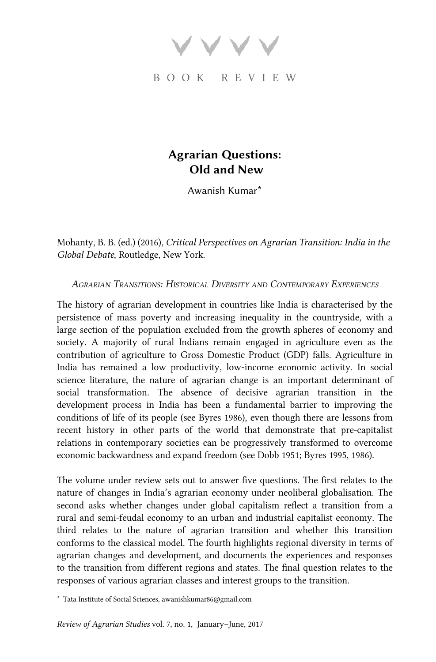BOOK REVIEW

### Agrarian Questions: Old and New

Awanish Kumar\*

Mohanty, B. B. (ed.) (2016), Critical Perspectives on Agrarian Transition: India in the Global Debate, Routledge, New York.

AGRARIAN TRANSITIONS: HISTORICAL DIVERSITY AND CONTEMPORARY EXPERIENCES

The history of agrarian development in countries like India is characterised by the persistence of mass poverty and increasing inequality in the countryside, with a large section of the population excluded from the growth spheres of economy and society. A majority of rural Indians remain engaged in agriculture even as the contribution of agriculture to Gross Domestic Product (GDP) falls. Agriculture in India has remained a low productivity, low-income economic activity. In social science literature, the nature of agrarian change is an important determinant of social transformation. The absence of decisive agrarian transition in the development process in India has been a fundamental barrier to improving the conditions of life of its people (see [Byres 1986\)](#page-11-0), even though there are lessons from recent history in other parts of the world that demonstrate that pre-capitalist relations in contemporary societies can be progressively transformed to overcome economic backwardness and expand freedom (see [Dobb 1951; Byres 1995,](#page-12-0) [1986](#page-11-0)).

The volume under review sets out to answer five questions. The first relates to the nature of changes in India's agrarian economy under neoliberal globalisation. The second asks whether changes under global capitalism reflect a transition from a rural and semi-feudal economy to an urban and industrial capitalist economy. The third relates to the nature of agrarian transition and whether this transition conforms to the classical model. The fourth highlights regional diversity in terms of agrarian changes and development, and documents the experiences and responses to the transition from different regions and states. The final question relates to the responses of various agrarian classes and interest groups to the transition.

\* Tata Institute of Social Sciences, awanishkumar86@gmail.com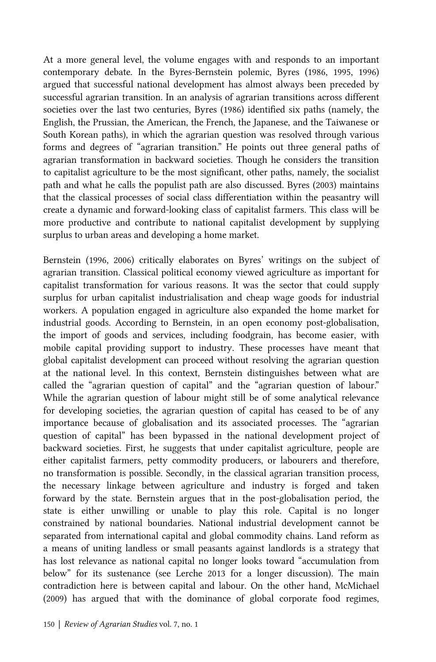At a more general level, the volume engages with and responds to an important contemporary debate. In the Byres-Bernstein polemic, [Byres \(1986,](#page-11-0) [1995](#page-12-0), [1996\)](#page-12-0) argued that successful national development has almost always been preceded by successful agrarian transition. In an analysis of agrarian transitions across different societies over the last two centuries, [Byres \(1986\)](#page-11-0) identified six paths (namely, the English, the Prussian, the American, the French, the Japanese, and the Taiwanese or South Korean paths), in which the agrarian question was resolved through various forms and degrees of "agrarian transition." He points out three general paths of agrarian transformation in backward societies. Though he considers the transition to capitalist agriculture to be the most significant, other paths, namely, the socialist path and what he calls the populist path are also discussed. [Byres \(2003\)](#page-12-0) maintains that the classical processes of social class differentiation within the peasantry will create a dynamic and forward-looking class of capitalist farmers. This class will be more productive and contribute to national capitalist development by supplying surplus to urban areas and developing a home market.

[Bernstein \(1996, 2006\)](#page-11-0) critically elaborates on Byres' writings on the subject of agrarian transition. Classical political economy viewed agriculture as important for capitalist transformation for various reasons. It was the sector that could supply surplus for urban capitalist industrialisation and cheap wage goods for industrial workers. A population engaged in agriculture also expanded the home market for industrial goods. According to Bernstein, in an open economy post-globalisation, the import of goods and services, including foodgrain, has become easier, with mobile capital providing support to industry. These processes have meant that global capitalist development can proceed without resolving the agrarian question at the national level. In this context, Bernstein distinguishes between what are called the "agrarian question of capital" and the "agrarian question of labour." While the agrarian question of labour might still be of some analytical relevance for developing societies, the agrarian question of capital has ceased to be of any importance because of globalisation and its associated processes. The "agrarian question of capital" has been bypassed in the national development project of backward societies. First, he suggests that under capitalist agriculture, people are either capitalist farmers, petty commodity producers, or labourers and therefore, no transformation is possible. Secondly, in the classical agrarian transition process, the necessary linkage between agriculture and industry is forged and taken forward by the state. Bernstein argues that in the post-globalisation period, the state is either unwilling or unable to play this role. Capital is no longer constrained by national boundaries. National industrial development cannot be separated from international capital and global commodity chains. Land reform as a means of uniting landless or small peasants against landlords is a strategy that has lost relevance as national capital no longer looks toward "accumulation from below" for its sustenance (see [Lerche 2013](#page-12-0) for a longer discussion). The main contradiction here is between capital and labour. On the other hand, [McMichael](#page-13-0) [\(2009\)](#page-13-0) has argued that with the dominance of global corporate food regimes,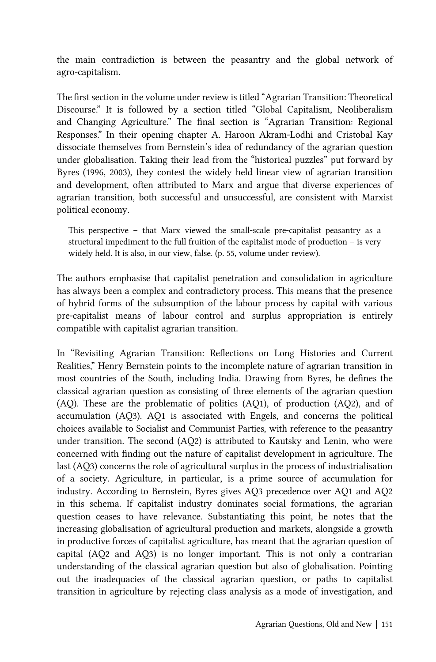the main contradiction is between the peasantry and the global network of agro-capitalism.

The first section in the volume under review is titled "Agrarian Transition: Theoretical Discourse." It is followed by a section titled "Global Capitalism, Neoliberalism and Changing Agriculture." The final section is "Agrarian Transition: Regional Responses." In their opening chapter A. Haroon Akram-Lodhi and Cristobal Kay dissociate themselves from Bernstein's idea of redundancy of the agrarian question under globalisation. Taking their lead from the "historical puzzles" put forward by [Byres \(1996, 2003\)](#page-12-0), they contest the widely held linear view of agrarian transition and development, often attributed to Marx and argue that diverse experiences of agrarian transition, both successful and unsuccessful, are consistent with Marxist political economy.

This perspective – that Marx viewed the small-scale pre-capitalist peasantry as a structural impediment to the full fruition of the capitalist mode of production – is very widely held. It is also, in our view, false. (p. 55, volume under review).

The authors emphasise that capitalist penetration and consolidation in agriculture has always been a complex and contradictory process. This means that the presence of hybrid forms of the subsumption of the labour process by capital with various pre-capitalist means of labour control and surplus appropriation is entirely compatible with capitalist agrarian transition.

In "Revisiting Agrarian Transition: Reflections on Long Histories and Current Realities," Henry Bernstein points to the incomplete nature of agrarian transition in most countries of the South, including India. Drawing from Byres, he defines the classical agrarian question as consisting of three elements of the agrarian question (AQ). These are the problematic of politics (AQ1), of production (AQ2), and of accumulation (AQ3). AQ1 is associated with Engels, and concerns the political choices available to Socialist and Communist Parties, with reference to the peasantry under transition. The second (AQ2) is attributed to Kautsky and Lenin, who were concerned with finding out the nature of capitalist development in agriculture. The last (AQ3) concerns the role of agricultural surplus in the process of industrialisation of a society. Agriculture, in particular, is a prime source of accumulation for industry. According to Bernstein, Byres gives AQ3 precedence over AQ1 and AQ2 in this schema. If capitalist industry dominates social formations, the agrarian question ceases to have relevance. Substantiating this point, he notes that the increasing globalisation of agricultural production and markets, alongside a growth in productive forces of capitalist agriculture, has meant that the agrarian question of capital (AQ2 and AQ3) is no longer important. This is not only a contrarian understanding of the classical agrarian question but also of globalisation. Pointing out the inadequacies of the classical agrarian question, or paths to capitalist transition in agriculture by rejecting class analysis as a mode of investigation, and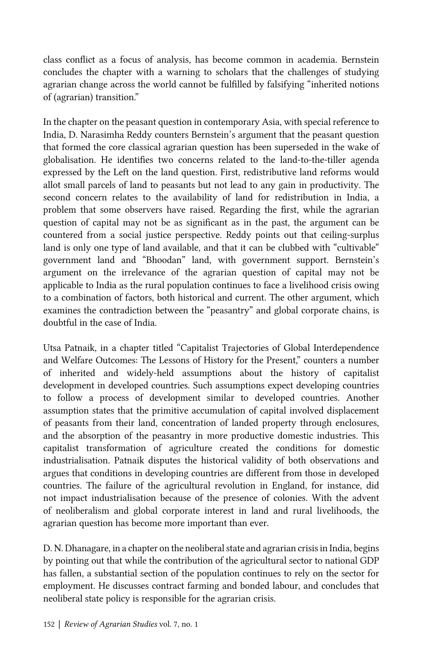class conflict as a focus of analysis, has become common in academia. Bernstein concludes the chapter with a warning to scholars that the challenges of studying agrarian change across the world cannot be fulfilled by falsifying "inherited notions of (agrarian) transition."

In the chapter on the peasant question in contemporary Asia, with special reference to India, D. Narasimha Reddy counters Bernstein's argument that the peasant question that formed the core classical agrarian question has been superseded in the wake of globalisation. He identifies two concerns related to the land-to-the-tiller agenda expressed by the Left on the land question. First, redistributive land reforms would allot small parcels of land to peasants but not lead to any gain in productivity. The second concern relates to the availability of land for redistribution in India, a problem that some observers have raised. Regarding the first, while the agrarian question of capital may not be as significant as in the past, the argument can be countered from a social justice perspective. Reddy points out that ceiling-surplus land is only one type of land available, and that it can be clubbed with "cultivable" government land and "Bhoodan" land, with government support. Bernstein's argument on the irrelevance of the agrarian question of capital may not be applicable to India as the rural population continues to face a livelihood crisis owing to a combination of factors, both historical and current. The other argument, which examines the contradiction between the "peasantry" and global corporate chains, is doubtful in the case of India.

Utsa Patnaik, in a chapter titled "Capitalist Trajectories of Global Interdependence and Welfare Outcomes: The Lessons of History for the Present," counters a number of inherited and widely-held assumptions about the history of capitalist development in developed countries. Such assumptions expect developing countries to follow a process of development similar to developed countries. Another assumption states that the primitive accumulation of capital involved displacement of peasants from their land, concentration of landed property through enclosures, and the absorption of the peasantry in more productive domestic industries. This capitalist transformation of agriculture created the conditions for domestic industrialisation. Patnaik disputes the historical validity of both observations and argues that conditions in developing countries are different from those in developed countries. The failure of the agricultural revolution in England, for instance, did not impact industrialisation because of the presence of colonies. With the advent of neoliberalism and global corporate interest in land and rural livelihoods, the agrarian question has become more important than ever.

D. N. Dhanagare, in a chapter on the neoliberal state and agrarian crisis in India, begins by pointing out that while the contribution of the agricultural sector to national GDP has fallen, a substantial section of the population continues to rely on the sector for employment. He discusses contract farming and bonded labour, and concludes that neoliberal state policy is responsible for the agrarian crisis.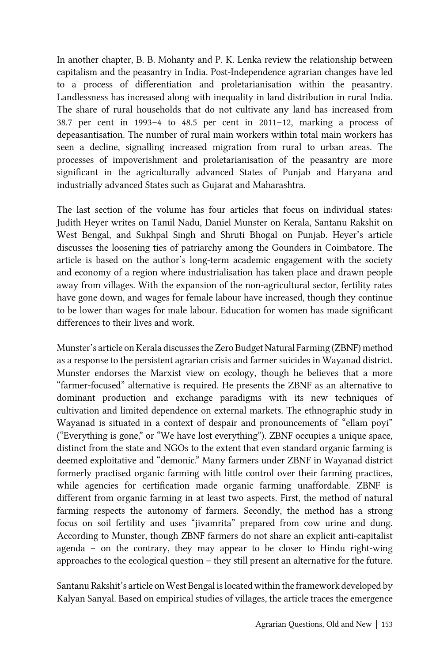In another chapter, B. B. Mohanty and P. K. Lenka review the relationship between capitalism and the peasantry in India. Post-Independence agrarian changes have led to a process of differentiation and proletarianisation within the peasantry. Landlessness has increased along with inequality in land distribution in rural India. The share of rural households that do not cultivate any land has increased from 38.7 per cent in 1993–4 to 48.5 per cent in 2011–12, marking a process of depeasantisation. The number of rural main workers within total main workers has seen a decline, signalling increased migration from rural to urban areas. The processes of impoverishment and proletarianisation of the peasantry are more significant in the agriculturally advanced States of Punjab and Haryana and industrially advanced States such as Gujarat and Maharashtra.

The last section of the volume has four articles that focus on individual states: Judith Heyer writes on Tamil Nadu, Daniel Munster on Kerala, Santanu Rakshit on West Bengal, and Sukhpal Singh and Shruti Bhogal on Punjab. Heyer's article discusses the loosening ties of patriarchy among the Gounders in Coimbatore. The article is based on the author's long-term academic engagement with the society and economy of a region where industrialisation has taken place and drawn people away from villages. With the expansion of the non-agricultural sector, fertility rates have gone down, and wages for female labour have increased, though they continue to be lower than wages for male labour. Education for women has made significant differences to their lives and work.

Munster's article on Kerala discusses the Zero Budget Natural Farming (ZBNF) method as a response to the persistent agrarian crisis and farmer suicides in Wayanad district. Munster endorses the Marxist view on ecology, though he believes that a more "farmer-focused" alternative is required. He presents the ZBNF as an alternative to dominant production and exchange paradigms with its new techniques of cultivation and limited dependence on external markets. The ethnographic study in Wayanad is situated in a context of despair and pronouncements of "ellam poyi" ("Everything is gone," or "We have lost everything"). ZBNF occupies a unique space, distinct from the state and NGOs to the extent that even standard organic farming is deemed exploitative and "demonic." Many farmers under ZBNF in Wayanad district formerly practised organic farming with little control over their farming practices, while agencies for certification made organic farming unaffordable. ZBNF is different from organic farming in at least two aspects. First, the method of natural farming respects the autonomy of farmers. Secondly, the method has a strong focus on soil fertility and uses "jivamrita" prepared from cow urine and dung. According to Munster, though ZBNF farmers do not share an explicit anti-capitalist agenda – on the contrary, they may appear to be closer to Hindu right-wing approaches to the ecological question – they still present an alternative for the future.

Santanu Rakshit's article on West Bengal is located within the framework developed by Kalyan Sanyal. Based on empirical studies of villages, the article traces the emergence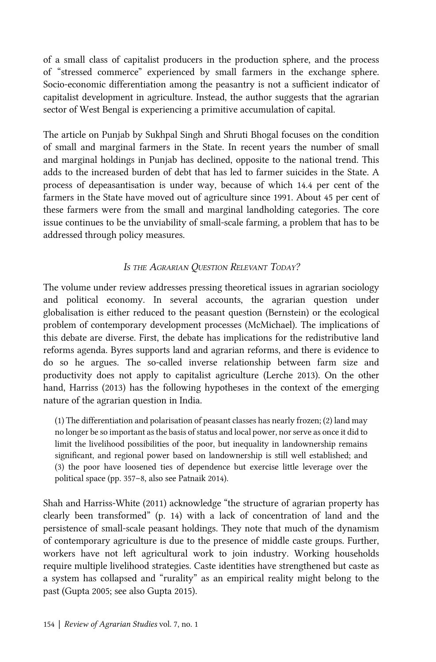of a small class of capitalist producers in the production sphere, and the process of "stressed commerce" experienced by small farmers in the exchange sphere. Socio-economic differentiation among the peasantry is not a sufficient indicator of capitalist development in agriculture. Instead, the author suggests that the agrarian sector of West Bengal is experiencing a primitive accumulation of capital.

The article on Punjab by Sukhpal Singh and Shruti Bhogal focuses on the condition of small and marginal farmers in the State. In recent years the number of small and marginal holdings in Punjab has declined, opposite to the national trend. This adds to the increased burden of debt that has led to farmer suicides in the State. A process of depeasantisation is under way, because of which 14.4 per cent of the farmers in the State have moved out of agriculture since 1991. About 45 per cent of these farmers were from the small and marginal landholding categories. The core issue continues to be the unviability of small-scale farming, a problem that has to be addressed through policy measures.

#### IS THE AGRARIAN OUESTION RELEVANT TODAY?

The volume under review addresses pressing theoretical issues in agrarian sociology and political economy. In several accounts, the agrarian question under globalisation is either reduced to the peasant question (Bernstein) or the ecological problem of contemporary development processes (McMichael). The implications of this debate are diverse. First, the debate has implications for the redistributive land reforms agenda. Byres supports land and agrarian reforms, and there is evidence to do so he argues. The so-called inverse relationship between farm size and productivity does not apply to capitalist agriculture ([Lerche 2013](#page-12-0)). On the other hand, [Harriss \(2013\)](#page-12-0) has the following hypotheses in the context of the emerging nature of the agrarian question in India.

(1) The differentiation and polarisation of peasant classes has nearly frozen; (2) land may no longer be so important as the basis of status and local power, nor serve as once it did to limit the livelihood possibilities of the poor, but inequality in landownership remains significant, and regional power based on landownership is still well established; and (3) the poor have loosened ties of dependence but exercise little leverage over the political space (pp. 357–8, also see [Patnaik 2014](#page-13-0)).

[Shah and Harriss-White \(2011\)](#page-13-0) acknowledge "the structure of agrarian property has clearly been transformed" (p. 14) with a lack of concentration of land and the persistence of small-scale peasant holdings. They note that much of the dynamism of contemporary agriculture is due to the presence of middle caste groups. Further, workers have not left agricultural work to join industry. Working households require multiple livelihood strategies. Caste identities have strengthened but caste as a system has collapsed and "rurality" as an empirical reality might belong to the past ([Gupta 2005](#page-12-0); see also [Gupta 2015](#page-12-0)).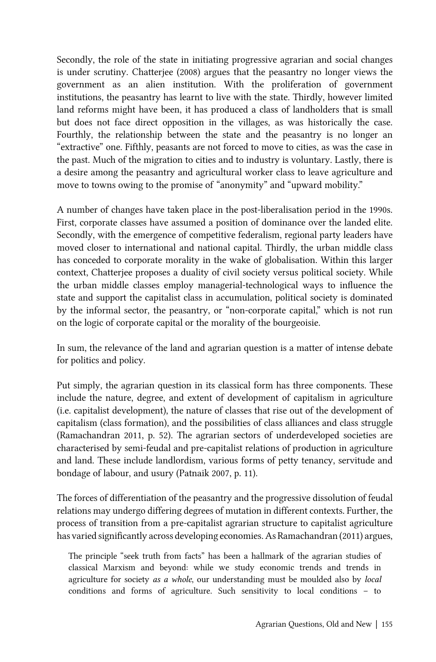Secondly, the role of the state in initiating progressive agrarian and social changes is under scrutiny. [Chatterjee \(2008\)](#page-12-0) argues that the peasantry no longer views the government as an alien institution. With the proliferation of government institutions, the peasantry has learnt to live with the state. Thirdly, however limited land reforms might have been, it has produced a class of landholders that is small but does not face direct opposition in the villages, as was historically the case. Fourthly, the relationship between the state and the peasantry is no longer an "extractive" one. Fifthly, peasants are not forced to move to cities, as was the case in the past. Much of the migration to cities and to industry is voluntary. Lastly, there is a desire among the peasantry and agricultural worker class to leave agriculture and move to towns owing to the promise of "anonymity" and "upward mobility."

A number of changes have taken place in the post-liberalisation period in the 1990s. First, corporate classes have assumed a position of dominance over the landed elite. Secondly, with the emergence of competitive federalism, regional party leaders have moved closer to international and national capital. Thirdly, the urban middle class has conceded to corporate morality in the wake of globalisation. Within this larger context, Chatterjee proposes a duality of civil society versus political society. While the urban middle classes employ managerial-technological ways to influence the state and support the capitalist class in accumulation, political society is dominated by the informal sector, the peasantry, or "non-corporate capital," which is not run on the logic of corporate capital or the morality of the bourgeoisie.

In sum, the relevance of the land and agrarian question is a matter of intense debate for politics and policy.

Put simply, the agrarian question in its classical form has three components. These include the nature, degree, and extent of development of capitalism in agriculture (i.e. capitalist development), the nature of classes that rise out of the development of capitalism (class formation), and the possibilities of class alliances and class struggle ([Ramachandran 2011](#page-13-0), p. 52). The agrarian sectors of underdeveloped societies are characterised by semi-feudal and pre-capitalist relations of production in agriculture and land. These include landlordism, various forms of petty tenancy, servitude and bondage of labour, and usury ([Patnaik 2007,](#page-13-0) p. 11).

The forces of differentiation of the peasantry and the progressive dissolution of feudal relations may undergo differing degrees of mutation in different contexts. Further, the process of transition from a pre-capitalist agrarian structure to capitalist agriculture has varied significantly across developing economies. As [Ramachandran \(2011\)](#page-13-0) argues,

The principle "seek truth from facts" has been a hallmark of the agrarian studies of classical Marxism and beyond: while we study economic trends and trends in agriculture for society as a whole, our understanding must be moulded also by local conditions and forms of agriculture. Such sensitivity to local conditions – to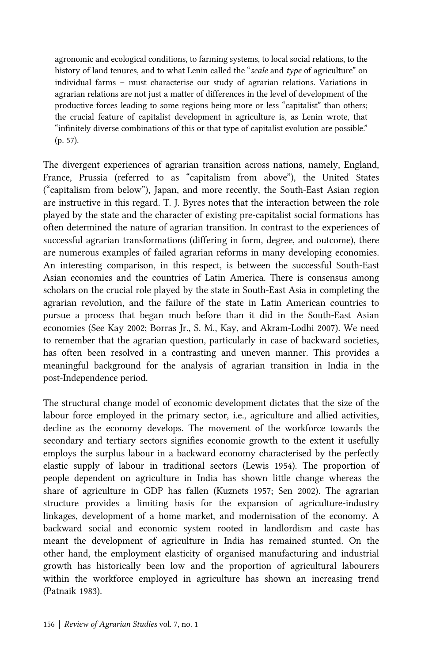agronomic and ecological conditions, to farming systems, to local social relations, to the history of land tenures, and to what Lenin called the "scale and type of agriculture" on individual farms – must characterise our study of agrarian relations. Variations in agrarian relations are not just a matter of differences in the level of development of the productive forces leading to some regions being more or less "capitalist" than others; the crucial feature of capitalist development in agriculture is, as Lenin wrote, that "infinitely diverse combinations of this or that type of capitalist evolution are possible." (p. 57).

The divergent experiences of agrarian transition across nations, namely, England, France, Prussia (referred to as "capitalism from above"), the United States ("capitalism from below"), Japan, and more recently, the South-East Asian region are instructive in this regard. T. J. Byres notes that the interaction between the role played by the state and the character of existing pre-capitalist social formations has often determined the nature of agrarian transition. In contrast to the experiences of successful agrarian transformations (differing in form, degree, and outcome), there are numerous examples of failed agrarian reforms in many developing economies. An interesting comparison, in this respect, is between the successful South-East Asian economies and the countries of Latin America. There is consensus among scholars on the crucial role played by the state in South-East Asia in completing the agrarian revolution, and the failure of the state in Latin American countries to pursue a process that began much before than it did in the South-East Asian economies (See [Kay 2002](#page-12-0); [Borras Jr., S. M., Kay, and Akram-Lodhi 2007\)](#page-11-0). We need to remember that the agrarian question, particularly in case of backward societies, has often been resolved in a contrasting and uneven manner. This provides a meaningful background for the analysis of agrarian transition in India in the post-Independence period.

The structural change model of economic development dictates that the size of the labour force employed in the primary sector, i.e., agriculture and allied activities, decline as the economy develops. The movement of the workforce towards the secondary and tertiary sectors signifies economic growth to the extent it usefully employs the surplus labour in a backward economy characterised by the perfectly elastic supply of labour in traditional sectors ([Lewis 1954](#page-12-0)). The proportion of people dependent on agriculture in India has shown little change whereas the share of agriculture in GDP has fallen [\(Kuznets 1957;](#page-12-0) [Sen 2002\)](#page-13-0). The agrarian structure provides a limiting basis for the expansion of agriculture-industry linkages, development of a home market, and modernisation of the economy. A backward social and economic system rooted in landlordism and caste has meant the development of agriculture in India has remained stunted. On the other hand, the employment elasticity of organised manufacturing and industrial growth has historically been low and the proportion of agricultural labourers within the workforce employed in agriculture has shown an increasing trend ([Patnaik 1983](#page-13-0)).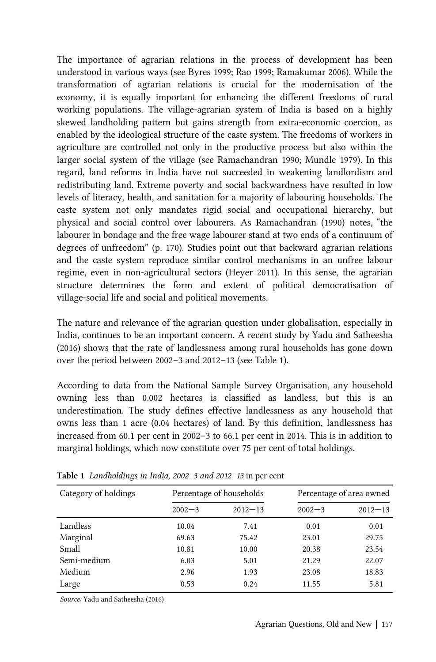The importance of agrarian relations in the process of development has been understood in various ways (see [Byres 1999;](#page-12-0) [Rao 1999](#page-13-0); [Ramakumar 2006](#page-13-0)). While the transformation of agrarian relations is crucial for the modernisation of the economy, it is equally important for enhancing the different freedoms of rural working populations. The village-agrarian system of India is based on a highly skewed landholding pattern but gains strength from extra-economic coercion, as enabled by the ideological structure of the caste system. The freedoms of workers in agriculture are controlled not only in the productive process but also within the larger social system of the village (see [Ramachandran 1990; Mundle 1979\)](#page-13-0). In this regard, land reforms in India have not succeeded in weakening landlordism and redistributing land. Extreme poverty and social backwardness have resulted in low levels of literacy, health, and sanitation for a majority of labouring households. The caste system not only mandates rigid social and occupational hierarchy, but physical and social control over labourers. As [Ramachandran \(1990\)](#page-13-0) notes, "the labourer in bondage and the free wage labourer stand at two ends of a continuum of degrees of unfreedom" (p. 170). Studies point out that backward agrarian relations and the caste system reproduce similar control mechanisms in an unfree labour regime, even in non-agricultural sectors [\(Heyer 2011\)](#page-12-0). In this sense, the agrarian structure determines the form and extent of political democratisation of village-social life and social and political movements.

The nature and relevance of the agrarian question under globalisation, especially in India, continues to be an important concern. A recent study by [Yadu and Satheesha](#page-13-0) [\(2016\)](#page-13-0) shows that the rate of landlessness among rural households has gone down over the period between 2002–3 and 2012–13 (see Table 1).

According to data from the National Sample Survey Organisation, any household owning less than 0.002 hectares is classified as landless, but this is an underestimation. The study defines effective landlessness as any household that owns less than 1 acre (0.04 hectares) of land. By this definition, landlessness has increased from 60.1 per cent in 2002–3 to 66.1 per cent in 2014. This is in addition to marginal holdings, which now constitute over 75 per cent of total holdings.

| Category of holdings | Percentage of households |             | Percentage of area owned |             |
|----------------------|--------------------------|-------------|--------------------------|-------------|
|                      | $2002 - 3$               | $2012 - 13$ | $2002 - 3$               | $2012 - 13$ |
| Landless             | 10.04                    | 7.41        | 0.01                     | 0.01        |
| Marginal             | 69.63                    | 75.42       | 23.01                    | 29.75       |
| Small                | 10.81                    | 10.00       | 20.38                    | 23.54       |
| Semi-medium          | 6.03                     | 5.01        | 21.29                    | 22.07       |
| Medium               | 2.96                     | 1.93        | 23.08                    | 18.83       |
| Large                | 0.53                     | 0.24        | 11.55                    | 5.81        |

Table 1 Landholdings in India, 2002–3 and 2012–13 in per cent

Source: [Yadu and Satheesha \(2016\)](#page-13-0)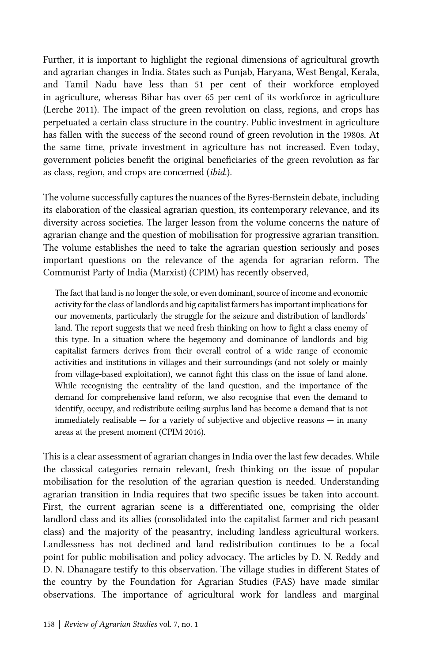Further, it is important to highlight the regional dimensions of agricultural growth and agrarian changes in India. States such as Punjab, Haryana, West Bengal, Kerala, and Tamil Nadu have less than 51 per cent of their workforce employed in agriculture, whereas Bihar has over 65 per cent of its workforce in agriculture ([Lerche 2011](#page-12-0)). The impact of the green revolution on class, regions, and crops has perpetuated a certain class structure in the country. Public investment in agriculture has fallen with the success of the second round of green revolution in the 1980s. At the same time, private investment in agriculture has not increased. Even today, government policies benefit the original beneficiaries of the green revolution as far as class, region, and crops are concerned (ibid.).

The volume successfully captures the nuances of the Byres-Bernstein debate, including its elaboration of the classical agrarian question, its contemporary relevance, and its diversity across societies. The larger lesson from the volume concerns the nature of agrarian change and the question of mobilisation for progressive agrarian transition. The volume establishes the need to take the agrarian question seriously and poses important questions on the relevance of the agenda for agrarian reform. The Communist Party of India (Marxist) (CPIM) has recently observed,

The fact that land is no longer the sole, or even dominant, source of income and economic activity for the class of landlords and big capitalist farmers has important implications for our movements, particularly the struggle for the seizure and distribution of landlords' land. The report suggests that we need fresh thinking on how to fight a class enemy of this type. In a situation where the hegemony and dominance of landlords and big capitalist farmers derives from their overall control of a wide range of economic activities and institutions in villages and their surroundings (and not solely or mainly from village-based exploitation), we cannot fight this class on the issue of land alone. While recognising the centrality of the land question, and the importance of the demand for comprehensive land reform, we also recognise that even the demand to identify, occupy, and redistribute ceiling-surplus land has become a demand that is not immediately realisable  $-$  for a variety of subjective and objective reasons  $-$  in many areas at the present moment ([CPIM 2016](#page-12-0)).

This is a clear assessment of agrarian changes in India over the last few decades. While the classical categories remain relevant, fresh thinking on the issue of popular mobilisation for the resolution of the agrarian question is needed. Understanding agrarian transition in India requires that two specific issues be taken into account. First, the current agrarian scene is a differentiated one, comprising the older landlord class and its allies (consolidated into the capitalist farmer and rich peasant class) and the majority of the peasantry, including landless agricultural workers. Landlessness has not declined and land redistribution continues to be a focal point for public mobilisation and policy advocacy. The articles by D. N. Reddy and D. N. Dhanagare testify to this observation. The village studies in different States of the country by the Foundation for Agrarian Studies (FAS) have made similar observations. The importance of agricultural work for landless and marginal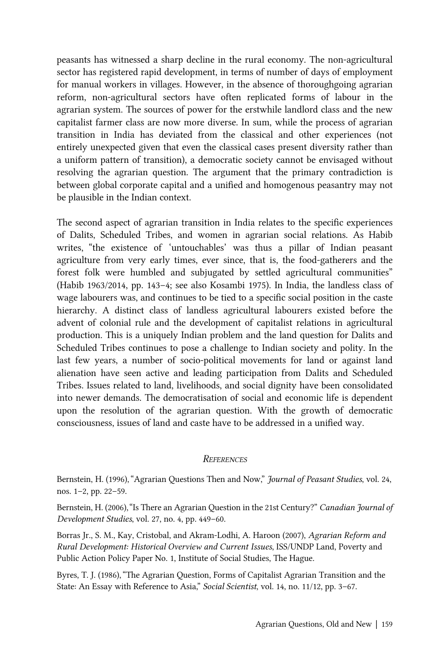<span id="page-11-0"></span>peasants has witnessed a sharp decline in the rural economy. The non-agricultural sector has registered rapid development, in terms of number of days of employment for manual workers in villages. However, in the absence of thoroughgoing agrarian reform, non-agricultural sectors have often replicated forms of labour in the agrarian system. The sources of power for the erstwhile landlord class and the new capitalist farmer class are now more diverse. In sum, while the process of agrarian transition in India has deviated from the classical and other experiences (not entirely unexpected given that even the classical cases present diversity rather than a uniform pattern of transition), a democratic society cannot be envisaged without resolving the agrarian question. The argument that the primary contradiction is between global corporate capital and a unified and homogenous peasantry may not be plausible in the Indian context.

The second aspect of agrarian transition in India relates to the specific experiences of Dalits, Scheduled Tribes, and women in agrarian social relations. As Habib writes, "the existence of 'untouchables' was thus a pillar of Indian peasant agriculture from very early times, ever since, that is, the food-gatherers and the forest folk were humbled and subjugated by settled agricultural communities" ([Habib 1963/2014,](#page-12-0) pp. 143–4; see also [Kosambi 1975\)](#page-12-0). In India, the landless class of wage labourers was, and continues to be tied to a specific social position in the caste hierarchy. A distinct class of landless agricultural labourers existed before the advent of colonial rule and the development of capitalist relations in agricultural production. This is a uniquely Indian problem and the land question for Dalits and Scheduled Tribes continues to pose a challenge to Indian society and polity. In the last few years, a number of socio-political movements for land or against land alienation have seen active and leading participation from Dalits and Scheduled Tribes. Issues related to land, livelihoods, and social dignity have been consolidated into newer demands. The democratisation of social and economic life is dependent upon the resolution of the agrarian question. With the growth of democratic consciousness, issues of land and caste have to be addressed in a unified way.

#### **REFERENCES**

Bernstein, H. (1996), "Agrarian Questions Then and Now," Journal of Peasant Studies, vol. 24, nos. 1–2, pp. 22–59.

Bernstein, H. (2006), "Is There an Agrarian Question in the 21st Century?" Canadian Journal of Development Studies, vol. 27, no. 4, pp. 449–60.

Borras Jr., S. M., Kay, Cristobal, and Akram-Lodhi, A. Haroon (2007), Agrarian Reform and Rural Development: Historical Overview and Current Issues, ISS/UNDP Land, Poverty and Public Action Policy Paper No. 1, Institute of Social Studies, The Hague.

Byres, T. J. (1986), "The Agrarian Question, Forms of Capitalist Agrarian Transition and the State: An Essay with Reference to Asia," Social Scientist, vol. 14, no. 11/12, pp. 3-67.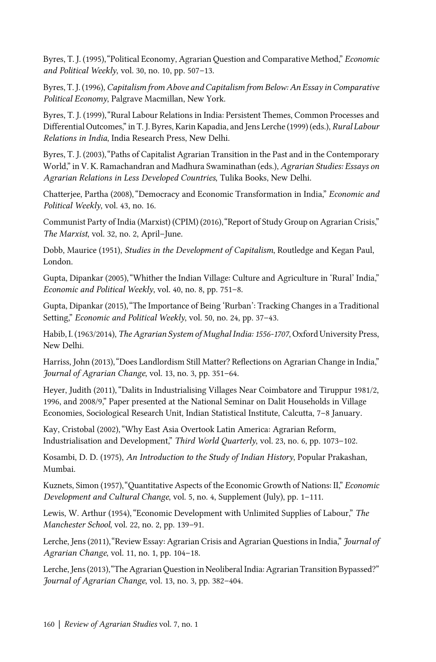<span id="page-12-0"></span>Byres, T. J. (1995), "Political Economy, Agrarian Ouestion and Comparative Method," *Economic* and Political Weekly, vol. 30, no. 10, pp. 507–13.

Byres, T. J. (1996), Capitalism from Above and Capitalism from Below: An Essay in Comparative Political Economy, Palgrave Macmillan, New York.

Byres, T. J. (1999),"Rural Labour Relations in India: Persistent Themes, Common Processes and Differential Outcomes,"in T. J. Byres, Karin Kapadia, and Jens Lerche (1999) (eds.), Rural Labour Relations in India, India Research Press, New Delhi.

Byres, T. J. (2003),"Paths of Capitalist Agrarian Transition in the Past and in the Contemporary World," in V. K. Ramachandran and Madhura Swaminathan (eds.), Agrarian Studies: Essays on Agrarian Relations in Less Developed Countries, Tulika Books, New Delhi.

Chatterjee, Partha (2008),"Democracy and Economic Transformation in India," Economic and Political Weekly, vol. 43, no. 16.

Communist Party of India (Marxist) (CPIM) (2016),"Report of Study Group on Agrarian Crisis," The Marxist, vol. 32, no. 2, April–June.

Dobb, Maurice (1951), Studies in the Development of Capitalism, Routledge and Kegan Paul, London.

Gupta, Dipankar (2005),"Whither the Indian Village: Culture and Agriculture in 'Rural' India," Economic and Political Weekly, vol. 40, no. 8, pp. 751–8.

Gupta, Dipankar (2015),"The Importance of Being 'Rurban': Tracking Changes in a Traditional Setting," Economic and Political Weekly, vol. 50, no. 24, pp. 37–43.

Habib, I. (1963/2014), The Agrarian System of Mughal India: 1556-1707, Oxford University Press, New Delhi.

Harriss, John (2013),"Does Landlordism Still Matter? Reflections on Agrarian Change in India," Journal of Agrarian Change, vol. 13, no. 3, pp. 351–64.

Heyer, Judith (2011),"Dalits in Industrialising Villages Near Coimbatore and Tiruppur 1981/2, 1996, and 2008/9," Paper presented at the National Seminar on Dalit Households in Village Economies, Sociological Research Unit, Indian Statistical Institute, Calcutta, 7–8 January.

Kay, Cristobal (2002),"Why East Asia Overtook Latin America: Agrarian Reform, Industrialisation and Development," Third World Quarterly, vol. 23, no. 6, pp. 1073–102.

Kosambi, D. D. (1975), An Introduction to the Study of Indian History, Popular Prakashan, Mumbai.

Kuznets, Simon (1957),"Quantitative Aspects of the Economic Growth of Nations: II," Economic Development and Cultural Change, vol. 5, no. 4, Supplement (July), pp. 1–111.

Lewis, W. Arthur (1954),"Economic Development with Unlimited Supplies of Labour," The Manchester School, vol. 22, no. 2, pp. 139–91.

Lerche, Jens (2011), "Review Essay: Agrarian Crisis and Agrarian Questions in India," Journal of Agrarian Change, vol. 11, no. 1, pp. 104–18.

Lerche, Jens (2013),"The Agrarian Question in Neoliberal India: Agrarian Transition Bypassed?" Journal of Agrarian Change, vol. 13, no. 3, pp. 382–404.